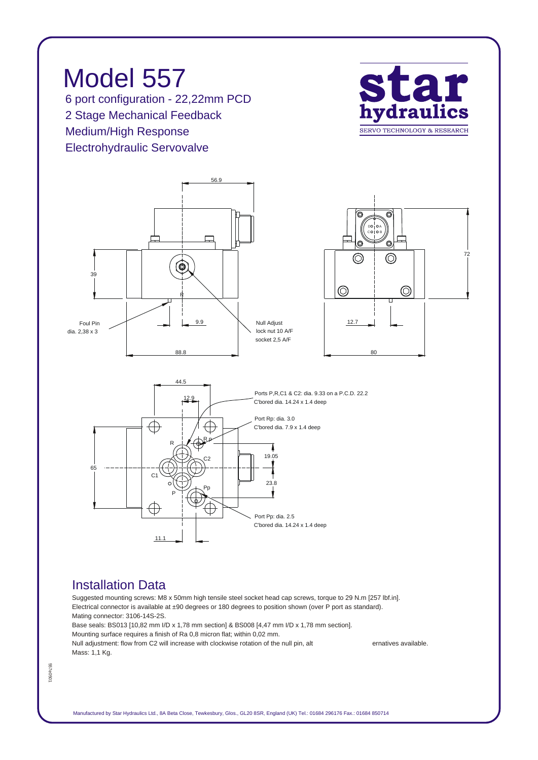*Model 557 6 port configuration - 22,22mm PCD 2 Stage Mechanical Feedback Medium/High Response Electrohydraulic Servovalve*





## *Installation Data*

*Suggested mounting screws: M8 x 50mm high tensile steel socket head cap screws, torque to 29 N.m [257 lbf.in]. Electrical connector is available at ±90 degrees or 180 degrees to position shown (over P port as standard). Mating connector: 3106-14S-2S. Base seals: BS013 [10,82 mm I/D x 1,78 mm section] & BS008 [4,47 mm I/D x 1,78 mm section].*

*Mounting surface requires a finish of Ra 0,8 micron flat; within 0,02 mm. Null adjustment: flow from C2 will increase with clockwise rotation of the null pin, alt ernatives available. Mass: 1,1 Kg.*

557e0501 *557e0501*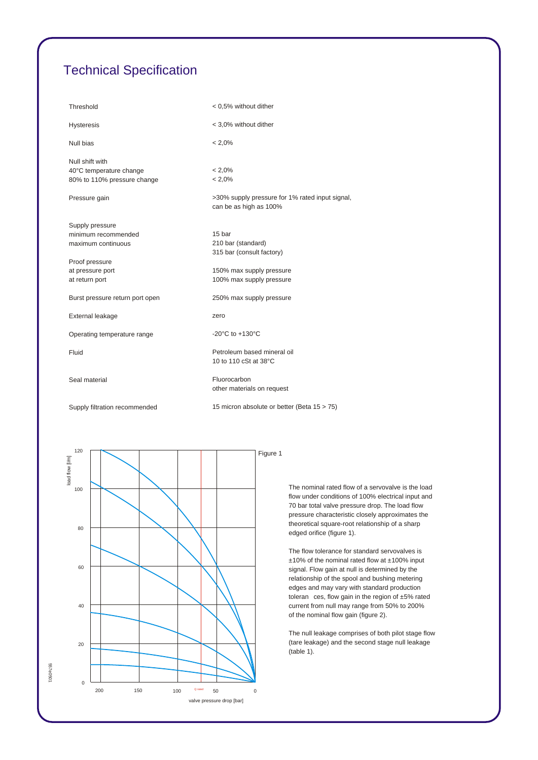## *Technical Specification*

| Threshold                                                                 | < 0.5% without dither                                                     |
|---------------------------------------------------------------------------|---------------------------------------------------------------------------|
| <b>Hysteresis</b>                                                         | < 3,0% without dither                                                     |
| Null bias                                                                 | $< 2.0\%$                                                                 |
| Null shift with<br>40°C temperature change<br>80% to 110% pressure change | $< 2.0\%$<br>$< 2.0\%$                                                    |
| Pressure gain                                                             | >30% supply pressure for 1% rated input signal,<br>can be as high as 100% |
| Supply pressure<br>minimum recommended<br>maximum continuous              | 15 bar<br>210 bar (standard)<br>315 bar (consult factory)                 |
| Proof pressure<br>at pressure port<br>at return port                      | 150% max supply pressure<br>100% max supply pressure                      |
| Burst pressure return port open                                           | 250% max supply pressure                                                  |
| External leakage                                                          | zero                                                                      |
| Operating temperature range                                               | -20 $^{\circ}$ C to +130 $^{\circ}$ C                                     |
| Fluid                                                                     | Petroleum based mineral oil<br>10 to 110 cSt at 38°C                      |
| Seal material                                                             | Fluorocarbon<br>other materials on request                                |
| Supply filtration recommended                                             | 15 micron absolute or better (Beta 15 > 75)                               |



*The nominal rated flow of a servovalve is the load flow under conditions of 100% electrical input and 70 bar total valve pressure drop. The load flow pressure characteristic closely approximates the theoretical square-root relationship of a sharp edged orifice (figure 1).*

*The flow tolerance for standard servovalves is ±10% of the nominal rated flow at ±100% input signal. Flow gain at null is determined by the relationship of the spool and bushing metering edges and may vary with standard production toleran ces, flow gain in the region of ±5% rated current from null may range from 50% to 200% of the nominal flow gain (figure 2).*

*The null leakage comprises of both pilot stage flow (tare leakage) and the second stage null leakage (table 1).*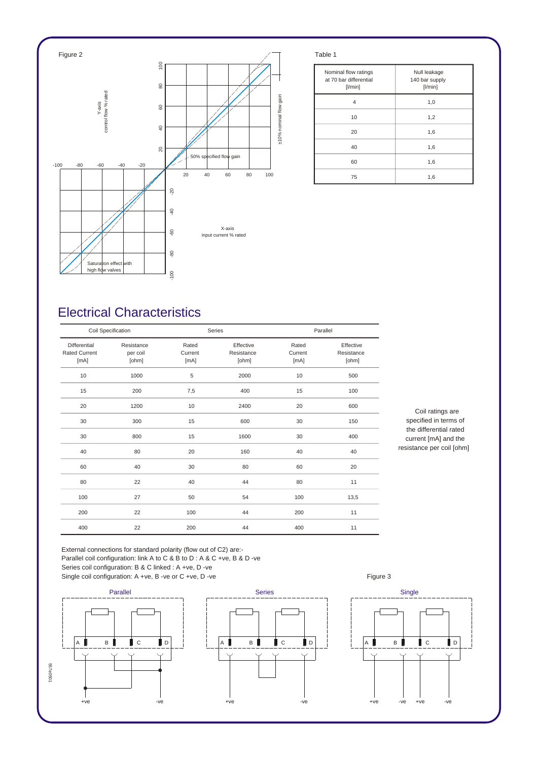

| Nominal flow ratings<br>at 70 bar differential<br>$[$ l/min $]$ | Null leakage<br>140 bar supply<br>[1/min] |
|-----------------------------------------------------------------|-------------------------------------------|
| 4                                                               | 1,0                                       |
| 10                                                              | 1,2                                       |
| 20                                                              | 1,6                                       |
| 40                                                              | 1,6                                       |
| 60                                                              | 1,6                                       |
| 75                                                              | 1,6                                       |

## *Electrical Characteristics*

| Coil Specification                           |                                 |                          | Series                           |                          | Parallel                         |  |
|----------------------------------------------|---------------------------------|--------------------------|----------------------------------|--------------------------|----------------------------------|--|
| Differential<br><b>Rated Current</b><br>[mA] | Resistance<br>per coil<br>[ohm] | Rated<br>Current<br>[mA] | Effective<br>Resistance<br>[ohm] | Rated<br>Current<br>[mA] | Effective<br>Resistance<br>[ohm] |  |
| 10                                           | 1000                            | 5                        | 2000                             | 10                       | 500                              |  |
| 15                                           | 200                             | 7,5                      | 400                              | 15                       | 100                              |  |
| 20                                           | 1200                            | 10                       | 2400                             | 20                       | 600                              |  |
| 30                                           | 300                             | 15                       | 600                              | 30                       | 150                              |  |
| 30                                           | 800                             | 15                       | 1600                             | 30                       | 400                              |  |
| 40                                           | 80                              | 20                       | 160                              | 40                       | 40                               |  |
| 60                                           | 40                              | 30                       | 80                               | 60                       | 20                               |  |
| 80                                           | 22                              | 40                       | 44                               | 80                       | 11                               |  |
| 100                                          | 27                              | 50                       | 54                               | 100                      | 13,5                             |  |
| 200                                          | 22                              | 100                      | 44                               | 200                      | 11                               |  |
| 400                                          | 22                              | 200                      | 44                               | 400                      | 11                               |  |

*Coil ratings are specified in terms of the differential rated current [mA] and the resistance per coil [ohm]*

*External connections for standard polarity (flow out of C2) are:- Parallel coil configuration: link A to C & B to D : A & C +ve, B & D -ve Series coil configuration: B & C linked : A +ve, D -ve*